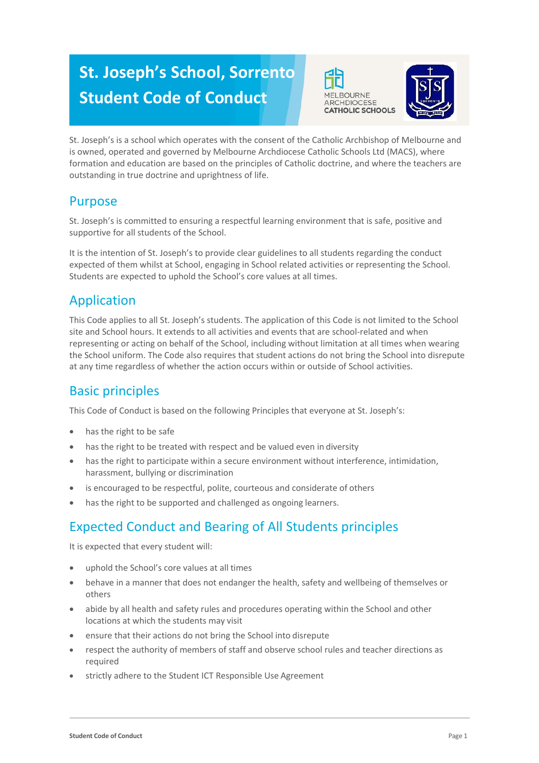# **St. Joseph's School, Sorrento Student Code of Conduct**





St. Joseph's is a school which operates with the consent of the Catholic Archbishop of Melbourne and is owned, operated and governed by Melbourne Archdiocese Catholic Schools Ltd (MACS), where formation and education are based on the principles of Catholic doctrine, and where the teachers are outstanding in true doctrine and uprightness of life.

### Purpose

St. Joseph's is committed to ensuring a respectful learning environment that is safe, positive and supportive for all students of the School.

It is the intention of St. Joseph's to provide clear guidelines to all students regarding the conduct expected of them whilst at School, engaging in School related activities or representing the School. Students are expected to uphold the School's core values at all times.

## Application

This Code applies to all St. Joseph's students. The application of this Code is not limited to the School site and School hours. It extends to all activities and events that are school-related and when representing or acting on behalf of the School, including without limitation at all times when wearing the School uniform. The Code also requires that student actions do not bring the School into disrepute at any time regardless of whether the action occurs within or outside of School activities.

### Basic principles

This Code of Conduct is based on the following Principles that everyone at St. Joseph's:

- has the right to be safe
- has the right to be treated with respect and be valued even in diversity
- has the right to participate within a secure environment without interference, intimidation, harassment, bullying or discrimination
- is encouraged to be respectful, polite, courteous and considerate of others
- has the right to be supported and challenged as ongoing learners.

### Expected Conduct and Bearing of All Students principles

It is expected that every student will:

- uphold the School's core values at all times
- behave in a manner that does not endanger the health, safety and wellbeing of themselves or others
- abide by all health and safety rules and procedures operating within the School and other locations at which the students may visit
- ensure that their actions do not bring the School into disrepute
- respect the authority of members of staff and observe school rules and teacher directions as required
- strictly adhere to the Student ICT Responsible Use Agreement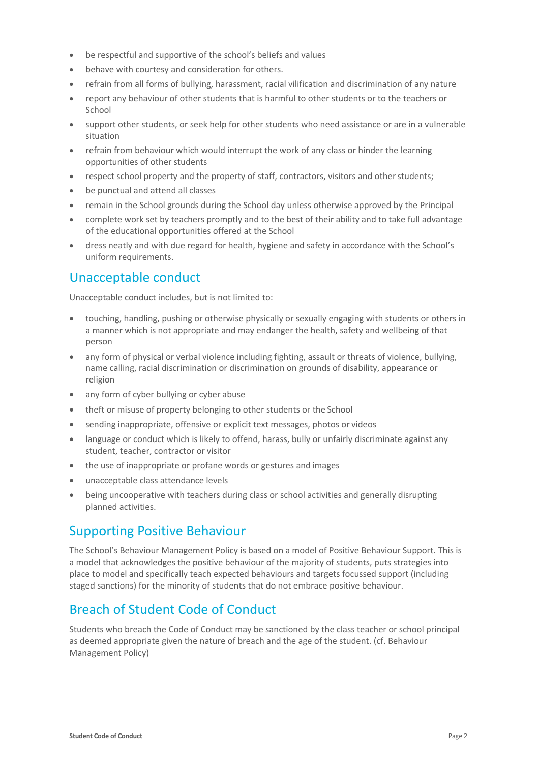- be respectful and supportive of the school's beliefs and values
- behave with courtesy and consideration for others.
- refrain from all forms of bullying, harassment, racial vilification and discrimination of any nature
- report any behaviour of other students that is harmful to other students or to the teachers or School
- support other students, or seek help for other students who need assistance or are in a vulnerable situation
- refrain from behaviour which would interrupt the work of any class or hinder the learning opportunities of other students
- respect school property and the property of staff, contractors, visitors and other students;
- be punctual and attend all classes
- remain in the School grounds during the School day unless otherwise approved by the Principal
- complete work set by teachers promptly and to the best of their ability and to take full advantage of the educational opportunities offered at the School
- dress neatly and with due regard for health, hygiene and safety in accordance with the School's uniform requirements.

#### Unacceptable conduct

Unacceptable conduct includes, but is not limited to:

- touching, handling, pushing or otherwise physically or sexually engaging with students or others in a manner which is not appropriate and may endanger the health, safety and wellbeing of that person
- any form of physical or verbal violence including fighting, assault or threats of violence, bullying, name calling, racial discrimination or discrimination on grounds of disability, appearance or religion
- any form of cyber bullying or cyber abuse
- theft or misuse of property belonging to other students or the School
- sending inappropriate, offensive or explicit text messages, photos or videos
- language or conduct which is likely to offend, harass, bully or unfairly discriminate against any student, teacher, contractor or visitor
- the use of inappropriate or profane words or gestures and images
- unacceptable class attendance levels
- being uncooperative with teachers during class or school activities and generally disrupting planned activities.

#### Supporting Positive Behaviour

The School's Behaviour Management Policy is based on a model of Positive Behaviour Support. This is a model that acknowledges the positive behaviour of the majority of students, puts strategies into place to model and specifically teach expected behaviours and targets focussed support (including staged sanctions) for the minority of students that do not embrace positive behaviour.

#### Breach of Student Code of Conduct

Students who breach the Code of Conduct may be sanctioned by the class teacher or school principal as deemed appropriate given the nature of breach and the age of the student. (cf. Behaviour Management Policy)